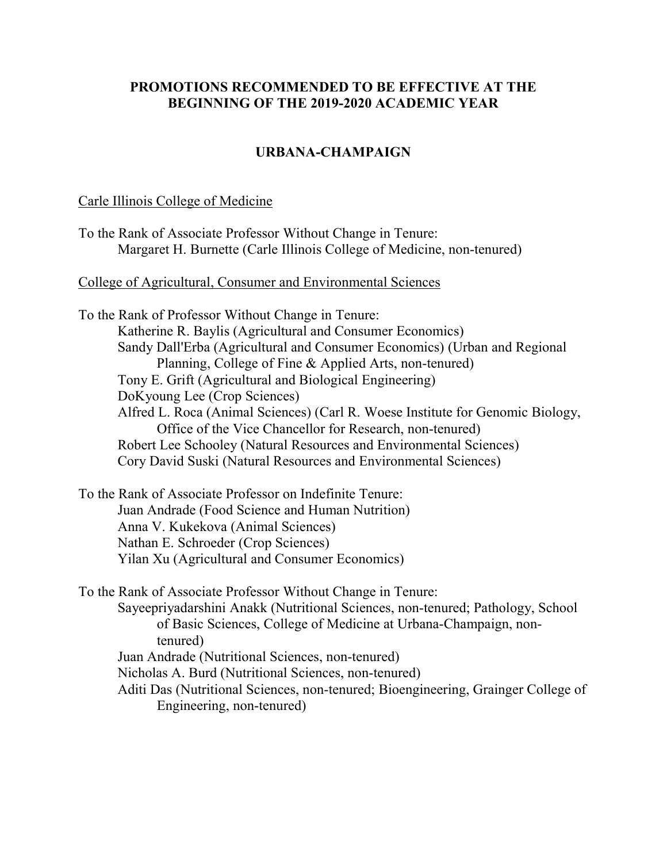# **PROMOTIONS RECOMMENDED TO BE EFFECTIVE AT THE BEGINNING OF THE 2019-2020 ACADEMIC YEAR**

# **URBANA-CHAMPAIGN**

### Carle Illinois College of Medicine

| To the Rank of Associate Professor Without Change in Tenure:           |  |
|------------------------------------------------------------------------|--|
| Margaret H. Burnette (Carle Illinois College of Medicine, non-tenured) |  |

College of Agricultural, Consumer and Environmental Sciences

To the Rank of Professor Without Change in Tenure: Katherine R. Baylis (Agricultural and Consumer Economics) Sandy Dall'Erba (Agricultural and Consumer Economics) (Urban and Regional Planning, College of Fine & Applied Arts, non-tenured) Tony E. Grift (Agricultural and Biological Engineering) DoKyoung Lee (Crop Sciences) Alfred L. Roca (Animal Sciences) (Carl R. Woese Institute for Genomic Biology, Office of the Vice Chancellor for Research, non-tenured) Robert Lee Schooley (Natural Resources and Environmental Sciences) Cory David Suski (Natural Resources and Environmental Sciences)

To the Rank of Associate Professor on Indefinite Tenure: Juan Andrade (Food Science and Human Nutrition) Anna V. Kukekova (Animal Sciences) Nathan E. Schroeder (Crop Sciences) Yilan Xu (Agricultural and Consumer Economics)

To the Rank of Associate Professor Without Change in Tenure:

Sayeepriyadarshini Anakk (Nutritional Sciences, non-tenured; Pathology, School of Basic Sciences, College of Medicine at Urbana-Champaign, nontenured)

Juan Andrade (Nutritional Sciences, non-tenured)

Nicholas A. Burd (Nutritional Sciences, non-tenured)

Aditi Das (Nutritional Sciences, non-tenured; Bioengineering, Grainger College of Engineering, non-tenured)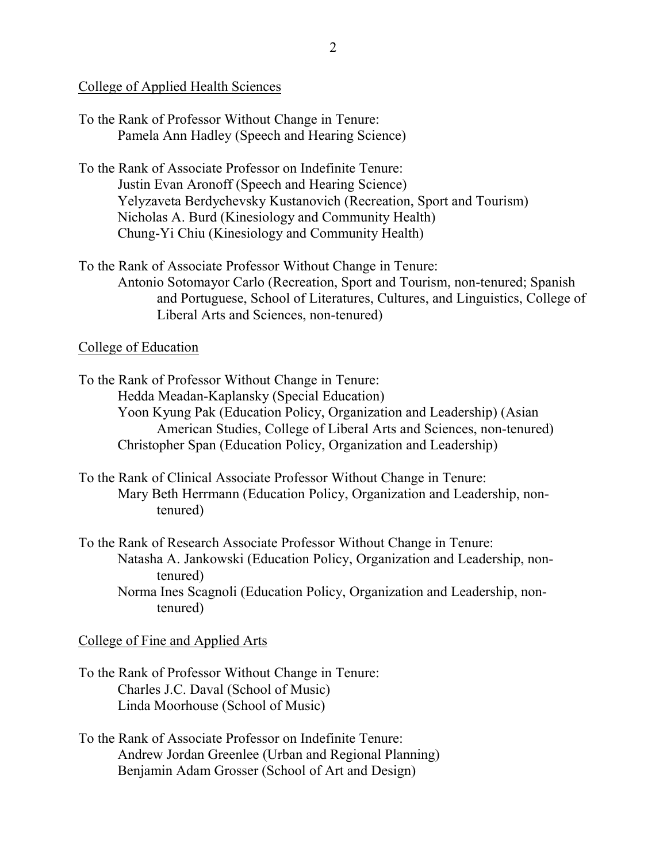## College of Applied Health Sciences

| To the Rank of Professor Without Change in Tenure: |
|----------------------------------------------------|
| Pamela Ann Hadley (Speech and Hearing Science)     |

- To the Rank of Associate Professor on Indefinite Tenure: Justin Evan Aronoff (Speech and Hearing Science) Yelyzaveta Berdychevsky Kustanovich (Recreation, Sport and Tourism) Nicholas A. Burd (Kinesiology and Community Health) Chung-Yi Chiu (Kinesiology and Community Health)
- To the Rank of Associate Professor Without Change in Tenure: Antonio Sotomayor Carlo (Recreation, Sport and Tourism, non-tenured; Spanish and Portuguese, School of Literatures, Cultures, and Linguistics, College of Liberal Arts and Sciences, non-tenured)

# College of Education

To the Rank of Professor Without Change in Tenure: Hedda Meadan-Kaplansky (Special Education) Yoon Kyung Pak (Education Policy, Organization and Leadership) (Asian American Studies, College of Liberal Arts and Sciences, non-tenured) Christopher Span (Education Policy, Organization and Leadership)

- To the Rank of Clinical Associate Professor Without Change in Tenure: Mary Beth Herrmann (Education Policy, Organization and Leadership, nontenured)
- To the Rank of Research Associate Professor Without Change in Tenure: Natasha A. Jankowski (Education Policy, Organization and Leadership, nontenured) Norma Ines Scagnoli (Education Policy, Organization and Leadership, nontenured)

## College of Fine and Applied Arts

- To the Rank of Professor Without Change in Tenure: Charles J.C. Daval (School of Music) Linda Moorhouse (School of Music)
- To the Rank of Associate Professor on Indefinite Tenure: Andrew Jordan Greenlee (Urban and Regional Planning) Benjamin Adam Grosser (School of Art and Design)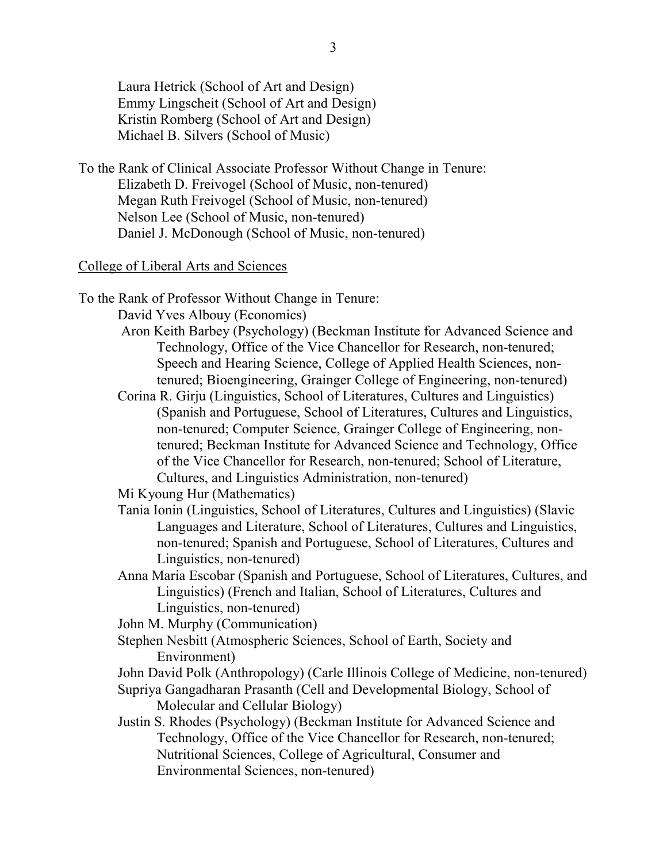Laura Hetrick (School of Art and Design) Emmy Lingscheit (School of Art and Design) Kristin Romberg (School of Art and Design) Michael B. Silvers (School of Music)

To the Rank of Clinical Associate Professor Without Change in Tenure: Elizabeth D. Freivogel (School of Music, non-tenured) Megan Ruth Freivogel (School of Music, non-tenured) Nelson Lee (School of Music, non-tenured) Daniel J. McDonough (School of Music, non-tenured)

### College of Liberal Arts and Sciences

To the Rank of Professor Without Change in Tenure:

David Yves Albouy (Economics)

- Aron Keith Barbey (Psychology) (Beckman Institute for Advanced Science and Technology, Office of the Vice Chancellor for Research, non-tenured; Speech and Hearing Science, College of Applied Health Sciences, nontenured; Bioengineering, Grainger College of Engineering, non-tenured)
- Corina R. Girju (Linguistics, School of Literatures, Cultures and Linguistics) (Spanish and Portuguese, School of Literatures, Cultures and Linguistics, non-tenured; Computer Science, Grainger College of Engineering, nontenured; Beckman Institute for Advanced Science and Technology, Office of the Vice Chancellor for Research, non-tenured; School of Literature, Cultures, and Linguistics Administration, non-tenured)

Mi Kyoung Hur (Mathematics)

- Tania Ionin (Linguistics, School of Literatures, Cultures and Linguistics) (Slavic Languages and Literature, School of Literatures, Cultures and Linguistics, non-tenured; Spanish and Portuguese, School of Literatures, Cultures and Linguistics, non-tenured)
- Anna Maria Escobar (Spanish and Portuguese, School of Literatures, Cultures, and Linguistics) (French and Italian, School of Literatures, Cultures and Linguistics, non-tenured)

John M. Murphy (Communication)

Stephen Nesbitt (Atmospheric Sciences, School of Earth, Society and Environment)

John David Polk (Anthropology) (Carle Illinois College of Medicine, non-tenured)

- Supriya Gangadharan Prasanth (Cell and Developmental Biology, School of Molecular and Cellular Biology)
- Justin S. Rhodes (Psychology) (Beckman Institute for Advanced Science and Technology, Office of the Vice Chancellor for Research, non-tenured; Nutritional Sciences, College of Agricultural, Consumer and Environmental Sciences, non-tenured)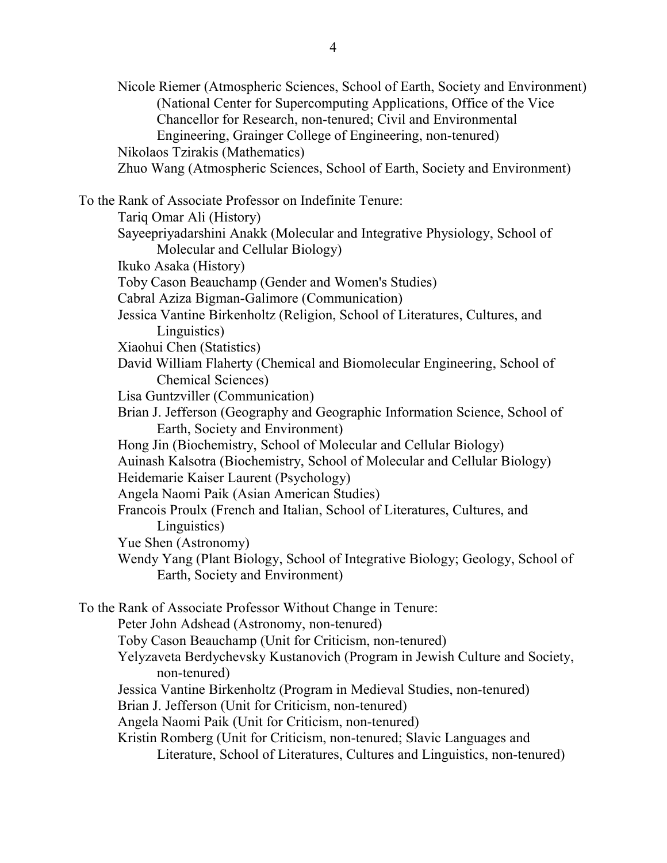Nicole Riemer (Atmospheric Sciences, School of Earth, Society and Environment) (National Center for Supercomputing Applications, Office of the Vice Chancellor for Research, non-tenured; Civil and Environmental Engineering, Grainger College of Engineering, non-tenured) Nikolaos Tzirakis (Mathematics) Zhuo Wang (Atmospheric Sciences, School of Earth, Society and Environment) To the Rank of Associate Professor on Indefinite Tenure: Tariq Omar Ali (History) Sayeepriyadarshini Anakk (Molecular and Integrative Physiology, School of Molecular and Cellular Biology) Ikuko Asaka (History) Toby Cason Beauchamp (Gender and Women's Studies) Cabral Aziza Bigman-Galimore (Communication) Jessica Vantine Birkenholtz (Religion, School of Literatures, Cultures, and Linguistics) Xiaohui Chen (Statistics) David William Flaherty (Chemical and Biomolecular Engineering, School of Chemical Sciences) Lisa Guntzviller (Communication) Brian J. Jefferson (Geography and Geographic Information Science, School of Earth, Society and Environment) Hong Jin (Biochemistry, School of Molecular and Cellular Biology) Auinash Kalsotra (Biochemistry, School of Molecular and Cellular Biology) Heidemarie Kaiser Laurent (Psychology) Angela Naomi Paik (Asian American Studies) Francois Proulx (French and Italian, School of Literatures, Cultures, and Linguistics) Yue Shen (Astronomy) Wendy Yang (Plant Biology, School of Integrative Biology; Geology, School of Earth, Society and Environment) To the Rank of Associate Professor Without Change in Tenure: Peter John Adshead (Astronomy, non-tenured) Toby Cason Beauchamp (Unit for Criticism, non-tenured) Yelyzaveta Berdychevsky Kustanovich (Program in Jewish Culture and Society, non-tenured) Jessica Vantine Birkenholtz (Program in Medieval Studies, non-tenured) Brian J. Jefferson (Unit for Criticism, non-tenured) Angela Naomi Paik (Unit for Criticism, non-tenured) Kristin Romberg (Unit for Criticism, non-tenured; Slavic Languages and

Literature, School of Literatures, Cultures and Linguistics, non-tenured)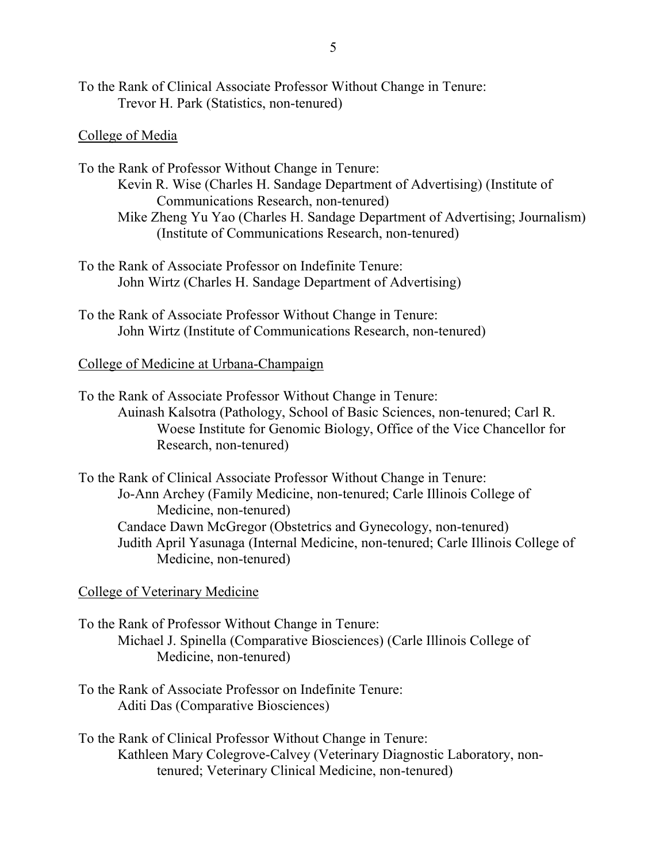To the Rank of Clinical Associate Professor Without Change in Tenure: Trevor H. Park (Statistics, non-tenured)

## College of Media

To the Rank of Professor Without Change in Tenure: Kevin R. Wise (Charles H. Sandage Department of Advertising) (Institute of Communications Research, non-tenured) Mike Zheng Yu Yao (Charles H. Sandage Department of Advertising; Journalism)

- (Institute of Communications Research, non-tenured)
- To the Rank of Associate Professor on Indefinite Tenure: John Wirtz (Charles H. Sandage Department of Advertising)
- To the Rank of Associate Professor Without Change in Tenure: John Wirtz (Institute of Communications Research, non-tenured)

### College of Medicine at Urbana-Champaign

To the Rank of Associate Professor Without Change in Tenure: Auinash Kalsotra (Pathology, School of Basic Sciences, non-tenured; Carl R. Woese Institute for Genomic Biology, Office of the Vice Chancellor for Research, non-tenured)

To the Rank of Clinical Associate Professor Without Change in Tenure: Jo-Ann Archey (Family Medicine, non-tenured; Carle Illinois College of Medicine, non-tenured) Candace Dawn McGregor (Obstetrics and Gynecology, non-tenured) Judith April Yasunaga (Internal Medicine, non-tenured; Carle Illinois College of Medicine, non-tenured)

College of Veterinary Medicine

To the Rank of Professor Without Change in Tenure: Michael J. Spinella (Comparative Biosciences) (Carle Illinois College of Medicine, non-tenured)

To the Rank of Associate Professor on Indefinite Tenure: Aditi Das (Comparative Biosciences)

To the Rank of Clinical Professor Without Change in Tenure: Kathleen Mary Colegrove-Calvey (Veterinary Diagnostic Laboratory, nontenured; Veterinary Clinical Medicine, non-tenured)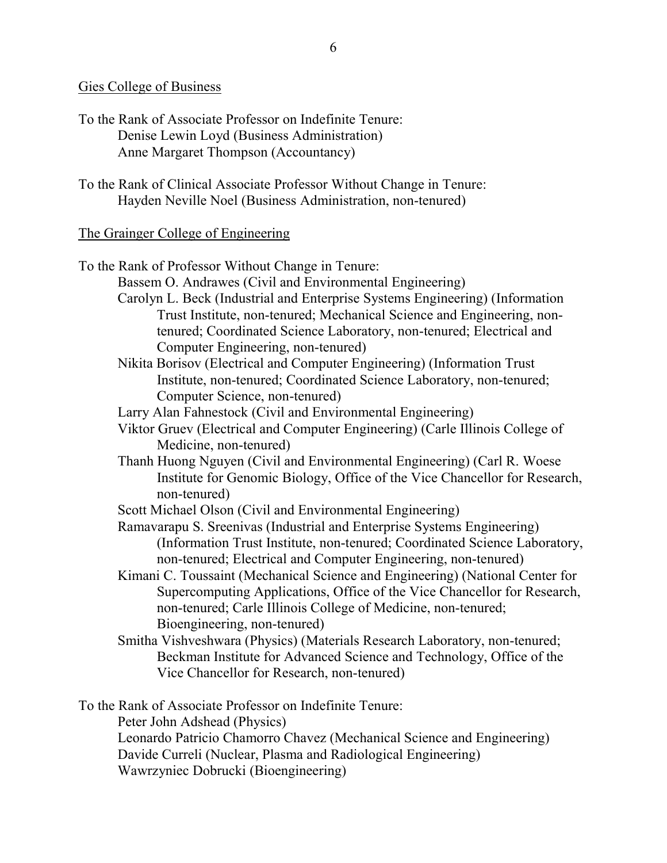## Gies College of Business

- To the Rank of Associate Professor on Indefinite Tenure: Denise Lewin Loyd (Business Administration) Anne Margaret Thompson (Accountancy)
- To the Rank of Clinical Associate Professor Without Change in Tenure: Hayden Neville Noel (Business Administration, non-tenured)

## The Grainger College of Engineering

To the Rank of Professor Without Change in Tenure: Bassem O. Andrawes (Civil and Environmental Engineering) Carolyn L. Beck (Industrial and Enterprise Systems Engineering) (Information Trust Institute, non-tenured; Mechanical Science and Engineering, nontenured; Coordinated Science Laboratory, non-tenured; Electrical and Computer Engineering, non-tenured) Nikita Borisov (Electrical and Computer Engineering) (Information Trust Institute, non-tenured; Coordinated Science Laboratory, non-tenured; Computer Science, non-tenured) Larry Alan Fahnestock (Civil and Environmental Engineering) Viktor Gruev (Electrical and Computer Engineering) (Carle Illinois College of Medicine, non-tenured) Thanh Huong Nguyen (Civil and Environmental Engineering) (Carl R. Woese Institute for Genomic Biology, Office of the Vice Chancellor for Research, non-tenured) Scott Michael Olson (Civil and Environmental Engineering) Ramavarapu S. Sreenivas (Industrial and Enterprise Systems Engineering) (Information Trust Institute, non-tenured; Coordinated Science Laboratory, non-tenured; Electrical and Computer Engineering, non-tenured) Kimani C. Toussaint (Mechanical Science and Engineering) (National Center for Supercomputing Applications, Office of the Vice Chancellor for Research, non-tenured; Carle Illinois College of Medicine, non-tenured; Bioengineering, non-tenured) Smitha Vishveshwara (Physics) (Materials Research Laboratory, non-tenured; Beckman Institute for Advanced Science and Technology, Office of the Vice Chancellor for Research, non-tenured) To the Rank of Associate Professor on Indefinite Tenure: Peter John Adshead (Physics) Leonardo Patricio Chamorro Chavez (Mechanical Science and Engineering)

Davide Curreli (Nuclear, Plasma and Radiological Engineering)

Wawrzyniec Dobrucki (Bioengineering)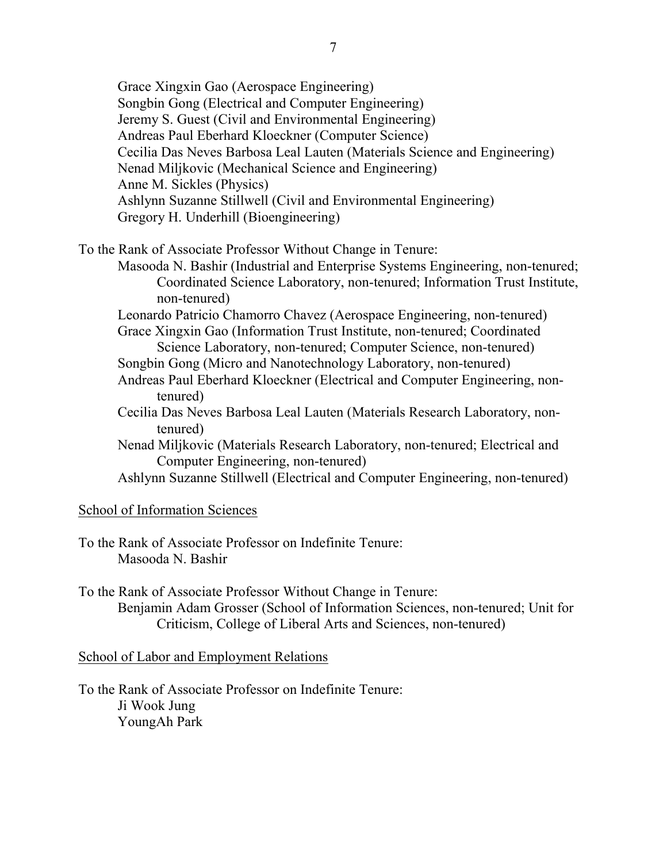Grace Xingxin Gao (Aerospace Engineering) Songbin Gong (Electrical and Computer Engineering) Jeremy S. Guest (Civil and Environmental Engineering) Andreas Paul Eberhard Kloeckner (Computer Science) Cecilia Das Neves Barbosa Leal Lauten (Materials Science and Engineering) Nenad Miljkovic (Mechanical Science and Engineering) Anne M. Sickles (Physics) Ashlynn Suzanne Stillwell (Civil and Environmental Engineering) Gregory H. Underhill (Bioengineering)

To the Rank of Associate Professor Without Change in Tenure:

Masooda N. Bashir (Industrial and Enterprise Systems Engineering, non-tenured; Coordinated Science Laboratory, non-tenured; Information Trust Institute, non-tenured)

Leonardo Patricio Chamorro Chavez (Aerospace Engineering, non-tenured)

- Grace Xingxin Gao (Information Trust Institute, non-tenured; Coordinated Science Laboratory, non-tenured; Computer Science, non-tenured)
- Songbin Gong (Micro and Nanotechnology Laboratory, non-tenured)
- Andreas Paul Eberhard Kloeckner (Electrical and Computer Engineering, nontenured)
- Cecilia Das Neves Barbosa Leal Lauten (Materials Research Laboratory, nontenured)
- Nenad Miljkovic (Materials Research Laboratory, non-tenured; Electrical and Computer Engineering, non-tenured)

Ashlynn Suzanne Stillwell (Electrical and Computer Engineering, non-tenured)

# School of Information Sciences

To the Rank of Associate Professor on Indefinite Tenure: Masooda N. Bashir

To the Rank of Associate Professor Without Change in Tenure: Benjamin Adam Grosser (School of Information Sciences, non-tenured; Unit for Criticism, College of Liberal Arts and Sciences, non-tenured)

School of Labor and Employment Relations

To the Rank of Associate Professor on Indefinite Tenure: Ji Wook Jung YoungAh Park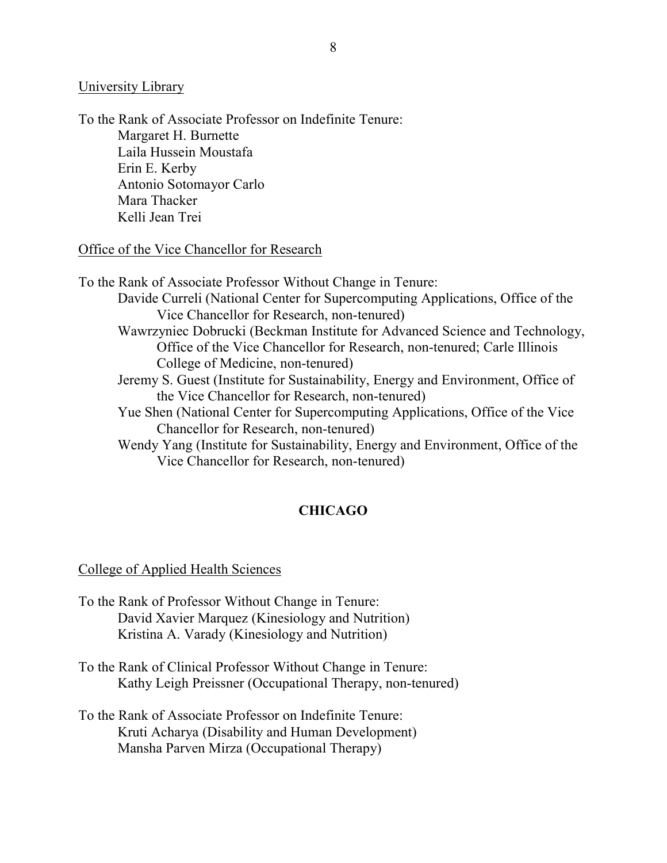### University Library

To the Rank of Associate Professor on Indefinite Tenure: Margaret H. Burnette Laila Hussein Moustafa Erin E. Kerby Antonio Sotomayor Carlo Mara Thacker Kelli Jean Trei

Office of the Vice Chancellor for Research

To the Rank of Associate Professor Without Change in Tenure: Davide Curreli (National Center for Supercomputing Applications, Office of the Vice Chancellor for Research, non-tenured) Wawrzyniec Dobrucki (Beckman Institute for Advanced Science and Technology, Office of the Vice Chancellor for Research, non-tenured; Carle Illinois College of Medicine, non-tenured) Jeremy S. Guest (Institute for Sustainability, Energy and Environment, Office of the Vice Chancellor for Research, non-tenured) Yue Shen (National Center for Supercomputing Applications, Office of the Vice Chancellor for Research, non-tenured) Wendy Yang (Institute for Sustainability, Energy and Environment, Office of the Vice Chancellor for Research, non-tenured)

# **CHICAGO**

### College of Applied Health Sciences

- To the Rank of Professor Without Change in Tenure: David Xavier Marquez (Kinesiology and Nutrition) Kristina A. Varady (Kinesiology and Nutrition)
- To the Rank of Clinical Professor Without Change in Tenure: Kathy Leigh Preissner (Occupational Therapy, non-tenured)
- To the Rank of Associate Professor on Indefinite Tenure: Kruti Acharya (Disability and Human Development) Mansha Parven Mirza (Occupational Therapy)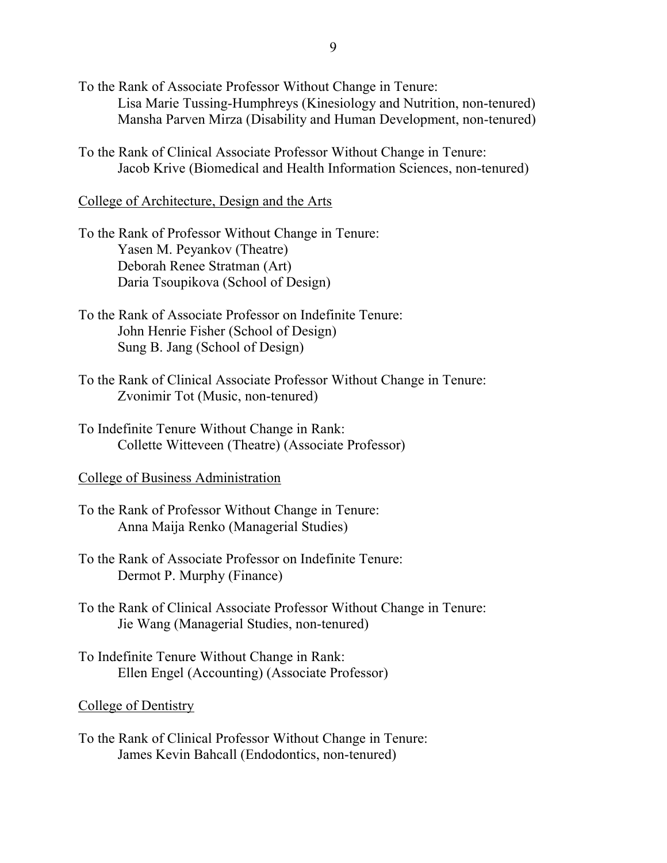- To the Rank of Associate Professor Without Change in Tenure: Lisa Marie Tussing-Humphreys (Kinesiology and Nutrition, non-tenured) Mansha Parven Mirza (Disability and Human Development, non-tenured)
- To the Rank of Clinical Associate Professor Without Change in Tenure: Jacob Krive (Biomedical and Health Information Sciences, non-tenured)

#### College of Architecture, Design and the Arts

- To the Rank of Professor Without Change in Tenure: Yasen M. Peyankov (Theatre) Deborah Renee Stratman (Art) Daria Tsoupikova (School of Design)
- To the Rank of Associate Professor on Indefinite Tenure: John Henrie Fisher (School of Design) Sung B. Jang (School of Design)
- To the Rank of Clinical Associate Professor Without Change in Tenure: Zvonimir Tot (Music, non-tenured)
- To Indefinite Tenure Without Change in Rank: Collette Witteveen (Theatre) (Associate Professor)

#### College of Business Administration

- To the Rank of Professor Without Change in Tenure: Anna Maija Renko (Managerial Studies)
- To the Rank of Associate Professor on Indefinite Tenure: Dermot P. Murphy (Finance)
- To the Rank of Clinical Associate Professor Without Change in Tenure: Jie Wang (Managerial Studies, non-tenured)
- To Indefinite Tenure Without Change in Rank: Ellen Engel (Accounting) (Associate Professor)

#### College of Dentistry

To the Rank of Clinical Professor Without Change in Tenure: James Kevin Bahcall (Endodontics, non-tenured)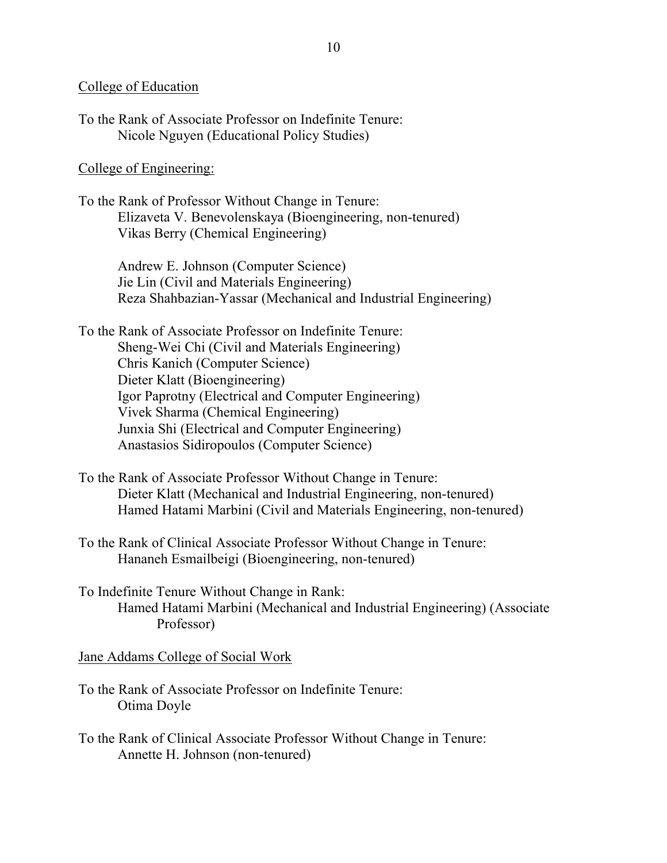### College of Education

| To the Rank of Associate Professor on Indefinite Tenure: |  |
|----------------------------------------------------------|--|
| Nicole Nguyen (Educational Policy Studies)               |  |

## College of Engineering:

To the Rank of Professor Without Change in Tenure: Elizaveta V. Benevolenskaya (Bioengineering, non-tenured) Vikas Berry (Chemical Engineering)

> Andrew E. Johnson (Computer Science) Jie Lin (Civil and Materials Engineering) Reza Shahbazian-Yassar (Mechanical and Industrial Engineering)

To the Rank of Associate Professor on Indefinite Tenure: Sheng-Wei Chi (Civil and Materials Engineering) Chris Kanich (Computer Science) Dieter Klatt (Bioengineering) Igor Paprotny (Electrical and Computer Engineering) Vivek Sharma (Chemical Engineering) Junxia Shi (Electrical and Computer Engineering) Anastasios Sidiropoulos (Computer Science)

- To the Rank of Associate Professor Without Change in Tenure: Dieter Klatt (Mechanical and Industrial Engineering, non-tenured) Hamed Hatami Marbini (Civil and Materials Engineering, non-tenured)
- To the Rank of Clinical Associate Professor Without Change in Tenure: Hananeh Esmailbeigi (Bioengineering, non-tenured)

To Indefinite Tenure Without Change in Rank: Hamed Hatami Marbini (Mechanical and Industrial Engineering) (Associate Professor)

Jane Addams College of Social Work

- To the Rank of Associate Professor on Indefinite Tenure: Otima Doyle
- To the Rank of Clinical Associate Professor Without Change in Tenure: Annette H. Johnson (non-tenured)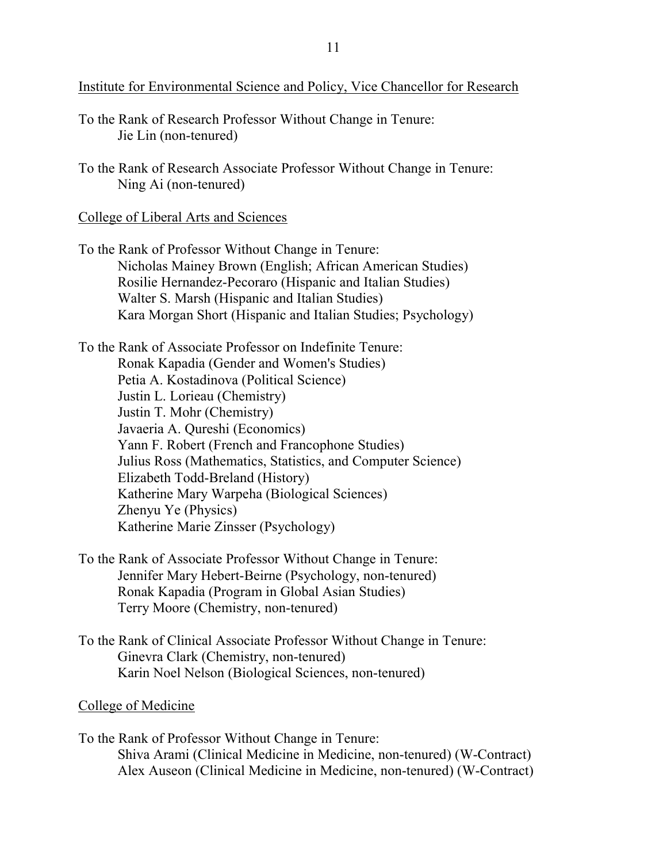Institute for Environmental Science and Policy, Vice Chancellor for Research

- To the Rank of Research Professor Without Change in Tenure: Jie Lin (non-tenured)
- To the Rank of Research Associate Professor Without Change in Tenure: Ning Ai (non-tenured)

College of Liberal Arts and Sciences

To the Rank of Professor Without Change in Tenure: Nicholas Mainey Brown (English; African American Studies) Rosilie Hernandez-Pecoraro (Hispanic and Italian Studies) Walter S. Marsh (Hispanic and Italian Studies) Kara Morgan Short (Hispanic and Italian Studies; Psychology)

To the Rank of Associate Professor on Indefinite Tenure: Ronak Kapadia (Gender and Women's Studies) Petia A. Kostadinova (Political Science) Justin L. Lorieau (Chemistry) Justin T. Mohr (Chemistry) Javaeria A. Qureshi (Economics) Yann F. Robert (French and Francophone Studies) Julius Ross (Mathematics, Statistics, and Computer Science) Elizabeth Todd-Breland (History) Katherine Mary Warpeha (Biological Sciences) Zhenyu Ye (Physics) Katherine Marie Zinsser (Psychology)

- To the Rank of Associate Professor Without Change in Tenure: Jennifer Mary Hebert-Beirne (Psychology, non-tenured) Ronak Kapadia (Program in Global Asian Studies) Terry Moore (Chemistry, non-tenured)
- To the Rank of Clinical Associate Professor Without Change in Tenure: Ginevra Clark (Chemistry, non-tenured) Karin Noel Nelson (Biological Sciences, non-tenured)

## College of Medicine

To the Rank of Professor Without Change in Tenure: Shiva Arami (Clinical Medicine in Medicine, non-tenured) (W-Contract) Alex Auseon (Clinical Medicine in Medicine, non-tenured) (W-Contract)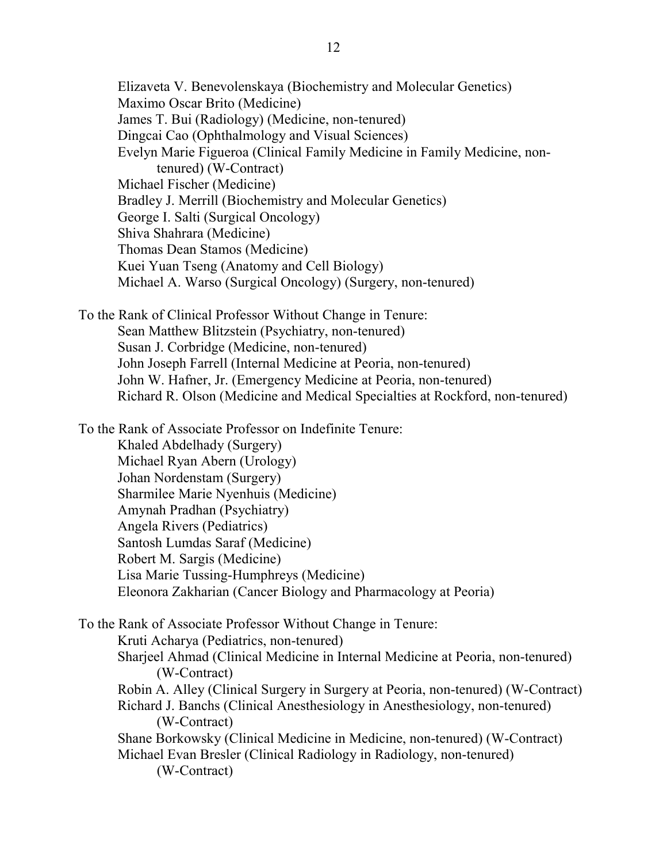Elizaveta V. Benevolenskaya (Biochemistry and Molecular Genetics) Maximo Oscar Brito (Medicine) James T. Bui (Radiology) (Medicine, non-tenured) Dingcai Cao (Ophthalmology and Visual Sciences) Evelyn Marie Figueroa (Clinical Family Medicine in Family Medicine, nontenured) (W-Contract) Michael Fischer (Medicine) Bradley J. Merrill (Biochemistry and Molecular Genetics) George I. Salti (Surgical Oncology) Shiva Shahrara (Medicine) Thomas Dean Stamos (Medicine) Kuei Yuan Tseng (Anatomy and Cell Biology) Michael A. Warso (Surgical Oncology) (Surgery, non-tenured) To the Rank of Clinical Professor Without Change in Tenure: Sean Matthew Blitzstein (Psychiatry, non-tenured) Susan J. Corbridge (Medicine, non-tenured) John Joseph Farrell (Internal Medicine at Peoria, non-tenured) John W. Hafner, Jr. (Emergency Medicine at Peoria, non-tenured) Richard R. Olson (Medicine and Medical Specialties at Rockford, non-tenured) To the Rank of Associate Professor on Indefinite Tenure: Khaled Abdelhady (Surgery) Michael Ryan Abern (Urology) Johan Nordenstam (Surgery) Sharmilee Marie Nyenhuis (Medicine) Amynah Pradhan (Psychiatry) Angela Rivers (Pediatrics) Santosh Lumdas Saraf (Medicine) Robert M. Sargis (Medicine) Lisa Marie Tussing-Humphreys (Medicine) Eleonora Zakharian (Cancer Biology and Pharmacology at Peoria) To the Rank of Associate Professor Without Change in Tenure: Kruti Acharya (Pediatrics, non-tenured) Sharjeel Ahmad (Clinical Medicine in Internal Medicine at Peoria, non-tenured) (W-Contract) Robin A. Alley (Clinical Surgery in Surgery at Peoria, non-tenured) (W-Contract) Richard J. Banchs (Clinical Anesthesiology in Anesthesiology, non-tenured) (W-Contract)

Shane Borkowsky (Clinical Medicine in Medicine, non-tenured) (W-Contract) Michael Evan Bresler (Clinical Radiology in Radiology, non-tenured) (W-Contract)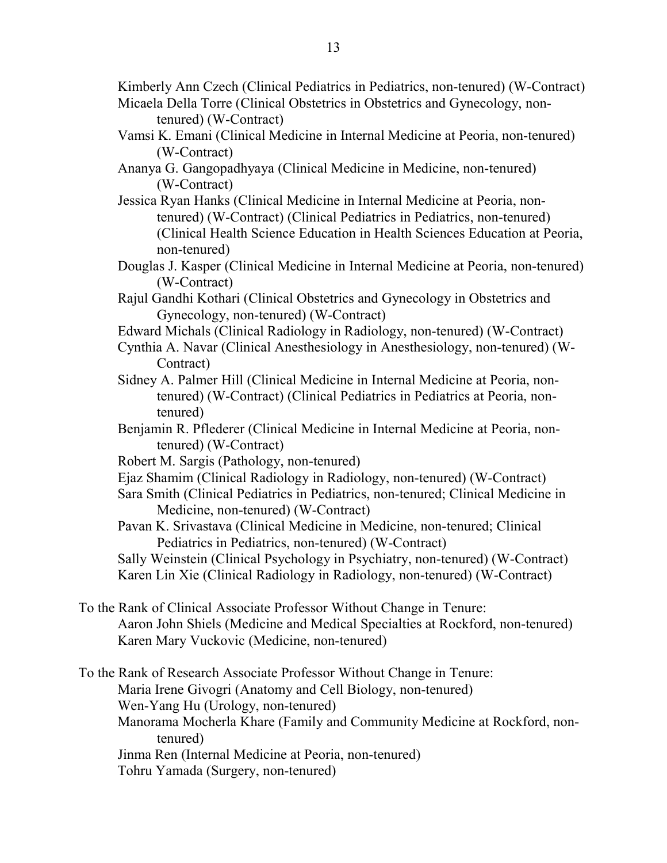Kimberly Ann Czech (Clinical Pediatrics in Pediatrics, non-tenured) (W-Contract)

- Micaela Della Torre (Clinical Obstetrics in Obstetrics and Gynecology, nontenured) (W-Contract)
- Vamsi K. Emani (Clinical Medicine in Internal Medicine at Peoria, non-tenured) (W-Contract)
- Ananya G. Gangopadhyaya (Clinical Medicine in Medicine, non-tenured) (W-Contract)
- Jessica Ryan Hanks (Clinical Medicine in Internal Medicine at Peoria, nontenured) (W-Contract) (Clinical Pediatrics in Pediatrics, non-tenured) (Clinical Health Science Education in Health Sciences Education at Peoria, non-tenured)
- Douglas J. Kasper (Clinical Medicine in Internal Medicine at Peoria, non-tenured) (W-Contract)
- Rajul Gandhi Kothari (Clinical Obstetrics and Gynecology in Obstetrics and Gynecology, non-tenured) (W-Contract)
- Edward Michals (Clinical Radiology in Radiology, non-tenured) (W-Contract)
- Cynthia A. Navar (Clinical Anesthesiology in Anesthesiology, non-tenured) (W-Contract)
- Sidney A. Palmer Hill (Clinical Medicine in Internal Medicine at Peoria, nontenured) (W-Contract) (Clinical Pediatrics in Pediatrics at Peoria, nontenured)
- Benjamin R. Pflederer (Clinical Medicine in Internal Medicine at Peoria, nontenured) (W-Contract)
- Robert M. Sargis (Pathology, non-tenured)
- Ejaz Shamim (Clinical Radiology in Radiology, non-tenured) (W-Contract)
- Sara Smith (Clinical Pediatrics in Pediatrics, non-tenured; Clinical Medicine in Medicine, non-tenured) (W-Contract)
- Pavan K. Srivastava (Clinical Medicine in Medicine, non-tenured; Clinical Pediatrics in Pediatrics, non-tenured) (W-Contract)

Sally Weinstein (Clinical Psychology in Psychiatry, non-tenured) (W-Contract) Karen Lin Xie (Clinical Radiology in Radiology, non-tenured) (W-Contract)

To the Rank of Clinical Associate Professor Without Change in Tenure: Aaron John Shiels (Medicine and Medical Specialties at Rockford, non-tenured) Karen Mary Vuckovic (Medicine, non-tenured)

To the Rank of Research Associate Professor Without Change in Tenure: Maria Irene Givogri (Anatomy and Cell Biology, non-tenured) Wen-Yang Hu (Urology, non-tenured) Manorama Mocherla Khare (Family and Community Medicine at Rockford, nontenured) Jinma Ren (Internal Medicine at Peoria, non-tenured) Tohru Yamada (Surgery, non-tenured)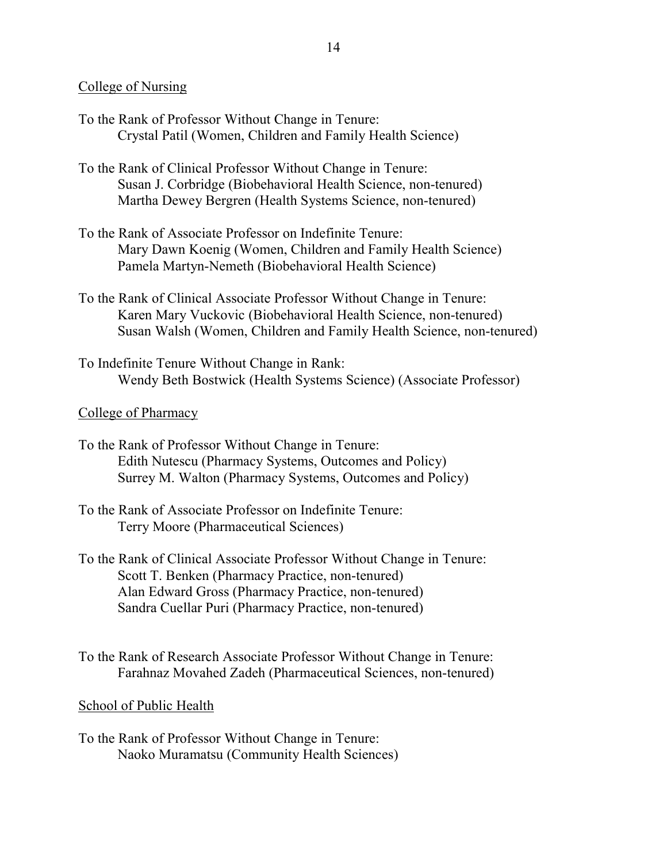### College of Nursing

- To the Rank of Professor Without Change in Tenure: Crystal Patil (Women, Children and Family Health Science)
- To the Rank of Clinical Professor Without Change in Tenure: Susan J. Corbridge (Biobehavioral Health Science, non-tenured) Martha Dewey Bergren (Health Systems Science, non-tenured)
- To the Rank of Associate Professor on Indefinite Tenure: Mary Dawn Koenig (Women, Children and Family Health Science) Pamela Martyn-Nemeth (Biobehavioral Health Science)
- To the Rank of Clinical Associate Professor Without Change in Tenure: Karen Mary Vuckovic (Biobehavioral Health Science, non-tenured) Susan Walsh (Women, Children and Family Health Science, non-tenured)
- To Indefinite Tenure Without Change in Rank: Wendy Beth Bostwick (Health Systems Science) (Associate Professor)

### College of Pharmacy

- To the Rank of Professor Without Change in Tenure: Edith Nutescu (Pharmacy Systems, Outcomes and Policy) Surrey M. Walton (Pharmacy Systems, Outcomes and Policy)
- To the Rank of Associate Professor on Indefinite Tenure: Terry Moore (Pharmaceutical Sciences)
- To the Rank of Clinical Associate Professor Without Change in Tenure: Scott T. Benken (Pharmacy Practice, non-tenured) Alan Edward Gross (Pharmacy Practice, non-tenured) Sandra Cuellar Puri (Pharmacy Practice, non-tenured)
- To the Rank of Research Associate Professor Without Change in Tenure: Farahnaz Movahed Zadeh (Pharmaceutical Sciences, non-tenured)

### School of Public Health

To the Rank of Professor Without Change in Tenure: Naoko Muramatsu (Community Health Sciences)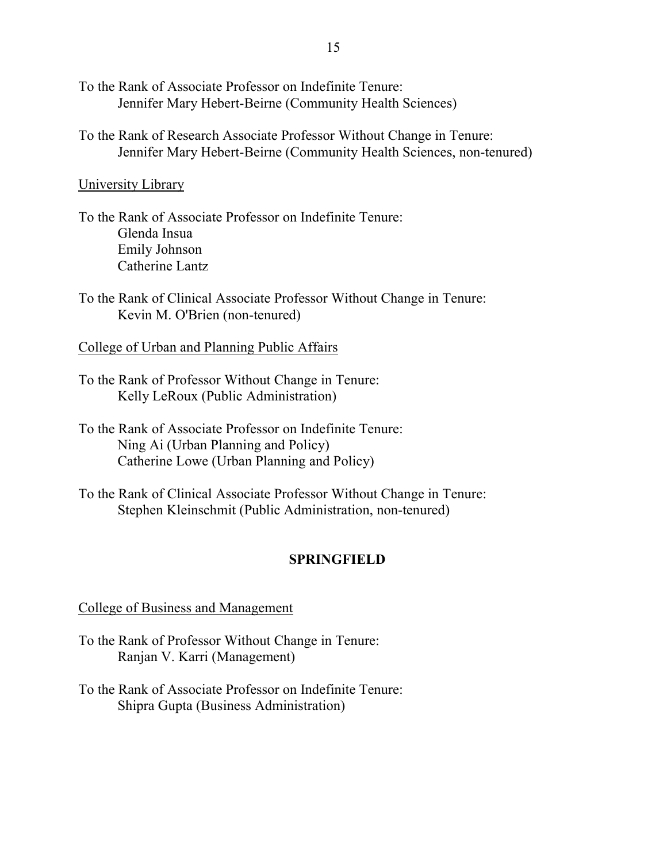- To the Rank of Associate Professor on Indefinite Tenure: Jennifer Mary Hebert-Beirne (Community Health Sciences)
- To the Rank of Research Associate Professor Without Change in Tenure: Jennifer Mary Hebert-Beirne (Community Health Sciences, non-tenured)

### University Library

- To the Rank of Associate Professor on Indefinite Tenure: Glenda Insua Emily Johnson Catherine Lantz
- To the Rank of Clinical Associate Professor Without Change in Tenure: Kevin M. O'Brien (non-tenured)

College of Urban and Planning Public Affairs

- To the Rank of Professor Without Change in Tenure: Kelly LeRoux (Public Administration)
- To the Rank of Associate Professor on Indefinite Tenure: Ning Ai (Urban Planning and Policy) Catherine Lowe (Urban Planning and Policy)
- To the Rank of Clinical Associate Professor Without Change in Tenure: Stephen Kleinschmit (Public Administration, non-tenured)

## **SPRINGFIELD**

### College of Business and Management

- To the Rank of Professor Without Change in Tenure: Ranjan V. Karri (Management)
- To the Rank of Associate Professor on Indefinite Tenure: Shipra Gupta (Business Administration)